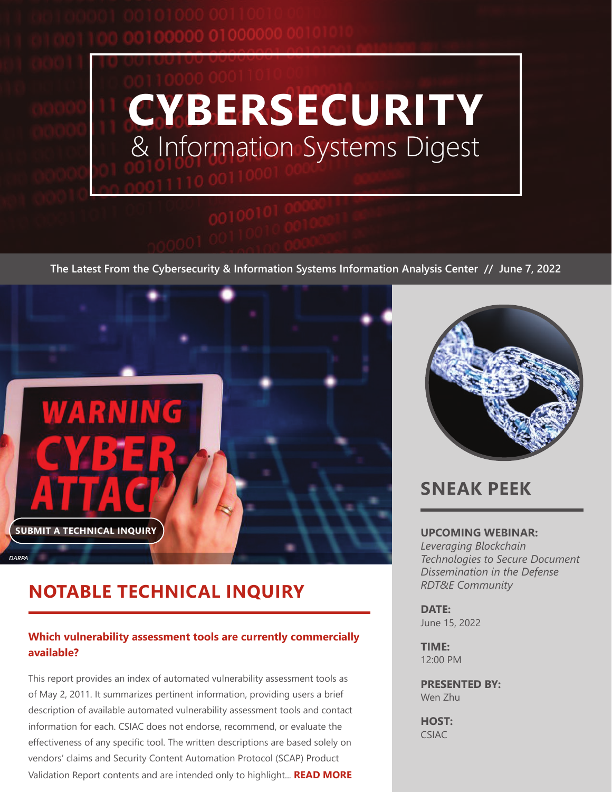<span id="page-0-0"></span>3000 01000000 0010101



**The Latest From the Cybersecurity & Information Systems Information Analysis Center // June 7, 2022**



## **NOTABLE TECHNICAL INQUIRY**

### **[Which vulnerability assessment tools are currently commercially](https://csiac.org/technical-inquiries/notable/commercially-available-vulnerability-assessment-tools/?utm_source=Digest)  [available?](https://csiac.org/technical-inquiries/notable/commercially-available-vulnerability-assessment-tools/?utm_source=Digest)**

This report provides an index of automated vulnerability assessment tools as of May 2, 2011. It summarizes pertinent information, providing users a brief description of available automated vulnerability assessment tools and contact information for each. CSIAC does not endorse, recommend, or evaluate the effectiveness of any specific tool. The written descriptions are based solely on vendors' claims and Security Content Automation Protocol (SCAP) Product Validation Report contents and are intended only to highlight... **[READ MORE](https://csiac.org/technical-inquiries/notable/commercially-available-vulnerability-assessment-tools/?utm_source=Digest)**



## **SNEAK PEEK**

#### **UPCOMING WEBINAR:**

*[Leveraging Blockchain](#page-2-0)  [Technologies to Secure Document](#page-2-0)  [Dissemination in the Defense](#page-2-0)  [RDT&E Community](#page-2-0)*

**DATE:** June 15, 2022

**TIME:** 12:00 PM

**PRESENTED BY:** Wen Zhu

**HOST:** CSIAC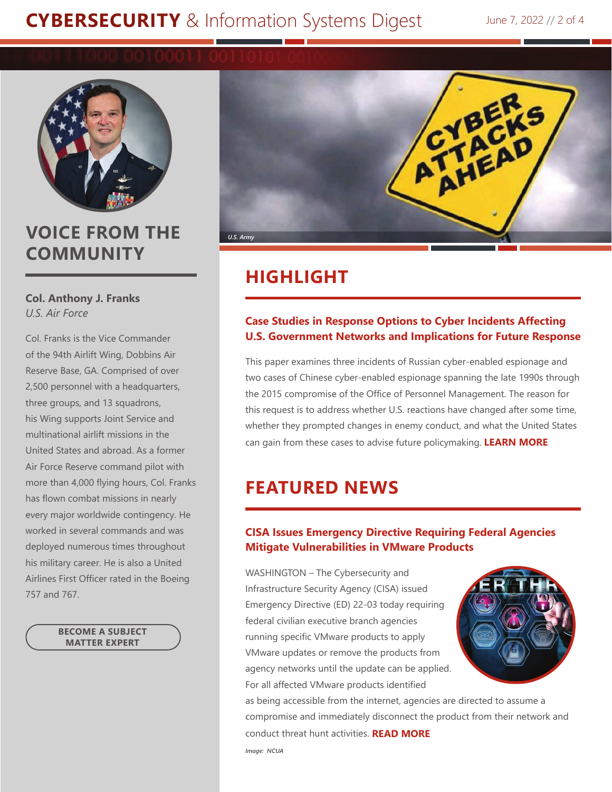# **CYBERSECURITY** [& Information Systems Digest](#page-0-0) June 7, 2022 // 2 of 4



## **VOICE FROM THE COMMUNITY**

#### **Col. Anthony J. Franks**  *U.S. Air Force*

Col. Franks is the Vice Commander of the 94th Airlift Wing, Dobbins Air Reserve Base, GA. Comprised of over 2,500 personnel with a headquarters, three groups, and 13 squadrons, his Wing supports Joint Service and multinational airlift missions in the United States and abroad. As a former Air Force Reserve command pilot with more than 4,000 flying hours, Col. Franks has flown combat missions in nearly every major worldwide contingency. He worked in several commands and was deployed numerous times throughout his military career. He is also a United Airlines First Officer rated in the Boeing 757 and 767.

> **[BECOME A SUBJECT](https://csiac.org/profile/subject-matter-expert/)  MATTER EXPERT**



## **HIGHLIGHT**

#### **[Case Studies in Response Options to Cyber Incidents Affecting](https://csiac.org/articles/many-hands-in-the-cookie-jar/?utm_source=Digest)  [U.S. Government Networks and Implications for Future Response](https://csiac.org/articles/many-hands-in-the-cookie-jar/?utm_source=Digest)**

This paper examines three incidents of Russian cyber-enabled espionage and two cases of Chinese cyber-enabled espionage spanning the late 1990s through the 2015 compromise of the Office of Personnel Management. The reason for this request is to address whether U.S. reactions have changed after some time, whether they prompted changes in enemy conduct, and what the United States can gain from these cases to advise future policymaking. **[LEARN MORE](https://csiac.org/articles/many-hands-in-the-cookie-jar/?utm_source=Digest)**

## **FEATURED NEWS**

### **[CISA Issues Emergency Directive Requiring Federal Agencies](https://csiac.org/articles/cisa-issues-emergency-directive-requiring-federal-agencies-mitigate-vulnerabilities-in-vmware-products/?utm_source=Digest)  [Mitigate Vulnerabilities in VMware Products](https://csiac.org/articles/cisa-issues-emergency-directive-requiring-federal-agencies-mitigate-vulnerabilities-in-vmware-products/?utm_source=Digest)**

WASHINGTON – The Cybersecurity and Infrastructure Security Agency (CISA) issued Emergency Directive (ED) 22-03 today requiring federal civilian executive branch agencies running specific VMware products to apply VMware updates or remove the products from agency networks until the update can be applied. For all affected VMware products identified



as being accessible from the internet, agencies are directed to assume a compromise and immediately disconnect the product from their network and conduct threat hunt activities. **[READ MORE](https://csiac.org/articles/cisa-issues-emergency-directive-requiring-federal-agencies-mitigate-vulnerabilities-in-vmware-products/?utm_source=Digest)**

*Image: NCUA*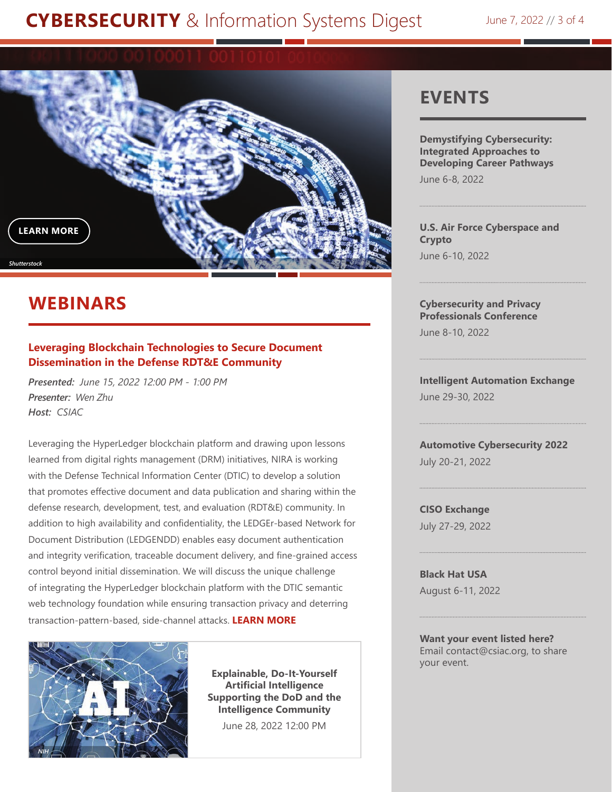# <span id="page-2-0"></span>**CYBERSECURITY** [& Information Systems Digest](#page-0-0) June 7, 2022 // 3 of 4



# **WEBINARS**

#### **[Leveraging Blockchain Technologies to Secure Document](https://csiac.org/webinars/leveraging-blockchain-technologies-to-secure-document-dissemination-in-the-defense-research-development-test-and-evaluation-rdte-community/?utm_source=Digest)  [Dissemination in the Defense RDT&E Community](https://csiac.org/webinars/leveraging-blockchain-technologies-to-secure-document-dissemination-in-the-defense-research-development-test-and-evaluation-rdte-community/?utm_source=Digest)**

*Presented: June 15, 2022 12:00 PM - 1:00 PM Presenter: Wen Zhu Host: CSIAC*

Leveraging the HyperLedger blockchain platform and drawing upon lessons learned from digital rights management (DRM) initiatives, NIRA is working with the Defense Technical Information Center (DTIC) to develop a solution that promotes effective document and data publication and sharing within the defense research, development, test, and evaluation (RDT&E) community. In addition to high availability and confidentiality, the LEDGEr-based Network for Document Distribution (LEDGENDD) enables easy document authentication and integrity verification, traceable document delivery, and fine-grained access control beyond initial dissemination. We will discuss the unique challenge of integrating the HyperLedger blockchain platform with the DTIC semantic web technology foundation while ensuring transaction privacy and deterring transaction-pattern-based, side-channel attacks. **[LEARN MORE](https://csiac.org/webinars/leveraging-blockchain-technologies-to-secure-document-dissemination-in-the-defense-research-development-test-and-evaluation-rdte-community/?utm_source=Digest)**



**Explainable, Do-It-Yourself Artificial Intelligence [Supporting the DoD and the](https://csiac.org/webinars/explainable-do-it-yourself-artificial-intelligence-supporting-the-dod-and-the-ic/?utm_source=Digest)  Intelligence Community**

June 28, 2022 12:00 PM

### **EVENTS**

**[Demystifying Cybersecurity:](https://csiac.org/events/demystifying-cybersecurity-integrated-approaches-to-developing-career-pathways/?utm_source=Digest)  [Integrated Approaches to](https://csiac.org/events/demystifying-cybersecurity-integrated-approaches-to-developing-career-pathways/?utm_source=Digest)  [Developing Career Pathways](https://csiac.org/events/demystifying-cybersecurity-integrated-approaches-to-developing-career-pathways/?utm_source=Digest)**

June 6-8, 2022

**U.S. [Air Force Cyberspace and](https://csiac.org/events/air-force-cyberspace-and-crypto/?utm_source=Digest)  [Crypto](https://csiac.org/events/air-force-cyberspace-and-crypto/?utm_source=Digest)** June 6-10, 2022

**[Cybersecurity and Privacy](https://csiac.org/events/cybersecurity-and-privacy-professionals-conference/?utm_source=Digest)  [Professionals Conference](https://csiac.org/events/cybersecurity-and-privacy-professionals-conference/?utm_source=Digest)**

June 8-10, 2022

**[Intelligent Automation Exchange](https://csiac.org/events/intelligent-automation-exchange/?utm_source=Digest)** June 29-30, 2022

**[Automotive Cybersecurity 2022](https://csiac.org/events/automotive-cybersecurity-2022/?utm_source=Digest)** July 20-21, 2022

**[CISO Exchange](https://csiac.org/events/ciso-exchange/?utm_source=Digest)** July 27-29, 2022

**[Black Hat USA](https://csiac.org/events/black-hat-usa/?utm_source=Digest)** August 6-11, 2022

**Want your event listed here?** Email [contact@csiac.org,](mailto:contact%40csiac.org?subject=I%20want%20to%20share%20my%20event%20with%20CSIAC) to share your event.